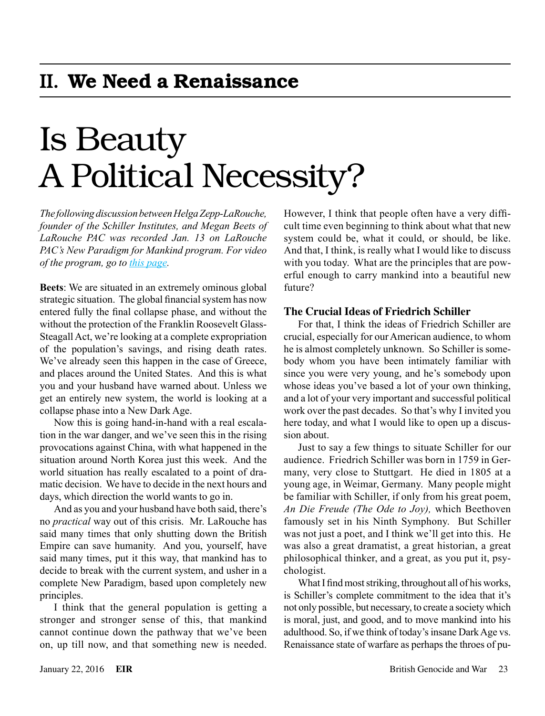# Is Beauty A Political Necessity?

*The following discussion between Helga Zepp-LaRouche, founder of the Schiller Institutes, and Megan Beets of LaRouche PAC was recorded Jan. 13 on LaRouche PAC's New Paradigm for Mankind program. For video of the program, go to [this page.](https://larouchepac.com/20160113/new-paradigm-mankind-beauty-political-necessity)*

**Beets**: We are situated in an extremely ominous global strategic situation. The global financial system has now entered fully the final collapse phase, and without the without the protection of the Franklin Roosevelt Glass-Steagall Act, we're looking at a complete expropriation of the population's savings, and rising death rates. We've already seen this happen in the case of Greece, and places around the United States. And this is what you and your husband have warned about. Unless we get an entirely new system, the world is looking at a collapse phase into a New Dark Age.

Now this is going hand-in-hand with a real escalation in the war danger, and we've seen this in the rising provocations against China, with what happened in the situation around North Korea just this week. And the world situation has really escalated to a point of dramatic decision. We have to decide in the next hours and days, which direction the world wants to go in.

And as you and your husband have both said, there's no *practical* way out of this crisis. Mr. LaRouche has said many times that only shutting down the British Empire can save humanity. And you, yourself, have said many times, put it this way, that mankind has to decide to break with the current system, and usher in a complete New Paradigm, based upon completely new principles.

I think that the general population is getting a stronger and stronger sense of this, that mankind cannot continue down the pathway that we've been on, up till now, and that something new is needed. However, I think that people often have a very difficult time even beginning to think about what that new system could be, what it could, or should, be like. And that, I think, is really what I would like to discuss with you today. What are the principles that are powerful enough to carry mankind into a beautiful new future?

## **The Crucial Ideas of Friedrich Schiller**

For that, I think the ideas of Friedrich Schiller are crucial, especially for our American audience, to whom he is almost completely unknown. So Schiller is somebody whom you have been intimately familiar with since you were very young, and he's somebody upon whose ideas you've based a lot of your own thinking, and a lot of your very important and successful political work over the past decades. So that's why I invited you here today, and what I would like to open up a discussion about.

Just to say a few things to situate Schiller for our audience. Friedrich Schiller was born in 1759 in Germany, very close to Stuttgart. He died in 1805 at a young age, in Weimar, Germany. Many people might be familiar with Schiller, if only from his great poem, *An Die Freude (The Ode to Joy),* which Beethoven famously set in his Ninth Symphony. But Schiller was not just a poet, and I think we'll get into this. He was also a great dramatist, a great historian, a great philosophical thinker, and a great, as you put it, psychologist.

What I find most striking, throughout all of his works, is Schiller's complete commitment to the idea that it's not only possible, but necessary, to create a society which is moral, just, and good, and to move mankind into his adulthood. So, if we think of today's insane Dark Age vs. Renaissance state of warfare as perhaps the throes of pu-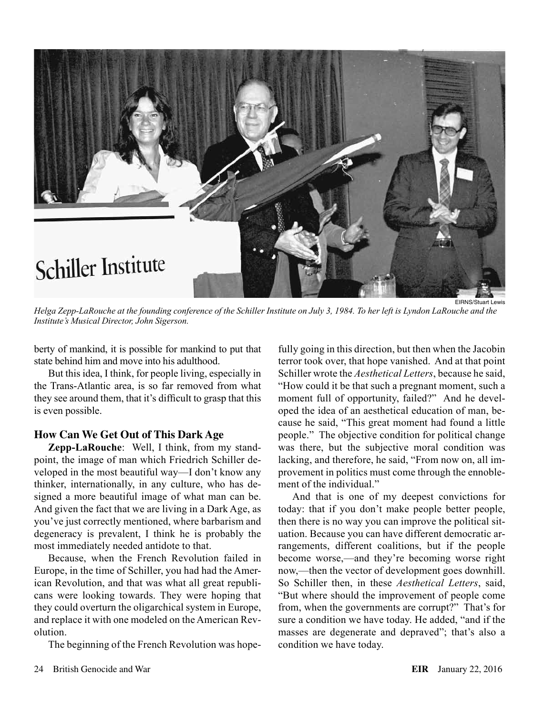

*Helga Zepp-LaRouche at the founding conference of the Schiller Institute on July 3, 1984. To her left is Lyndon LaRouche and the Institute's Musical Director, John Sigerson.*

berty of mankind, it is possible for mankind to put that state behind him and move into his adulthood.

But this idea, I think, for people living, especially in the Trans-Atlantic area, is so far removed from what they see around them, that it's difficult to grasp that this is even possible.

#### **How Can We Get Out of This Dark Age**

**Zepp-LaRouche**: Well, I think, from my standpoint, the image of man which Friedrich Schiller developed in the most beautiful way—I don't know any thinker, internationally, in any culture, who has designed a more beautiful image of what man can be. And given the fact that we are living in a Dark Age, as you've just correctly mentioned, where barbarism and degeneracy is prevalent, I think he is probably the most immediately needed antidote to that.

Because, when the French Revolution failed in Europe, in the time of Schiller, you had had the American Revolution, and that was what all great republicans were looking towards. They were hoping that they could overturn the oligarchical system in Europe, and replace it with one modeled on the American Revolution.

The beginning of the French Revolution was hope-

fully going in this direction, but then when the Jacobin terror took over, that hope vanished. And at that point Schiller wrote the *Aesthetical Letters*, because he said, "How could it be that such a pregnant moment, such a moment full of opportunity, failed?" And he developed the idea of an aesthetical education of man, because he said, "This great moment had found a little people." The objective condition for political change was there, but the subjective moral condition was lacking, and therefore, he said, "From now on, all improvement in politics must come through the ennoblement of the individual."

And that is one of my deepest convictions for today: that if you don't make people better people, then there is no way you can improve the political situation. Because you can have different democratic arrangements, different coalitions, but if the people become worse,—and they're becoming worse right now,—then the vector of development goes downhill. So Schiller then, in these *Aesthetical Letters*, said, "But where should the improvement of people come from, when the governments are corrupt?" That's for sure a condition we have today. He added, "and if the masses are degenerate and depraved"; that's also a condition we have today.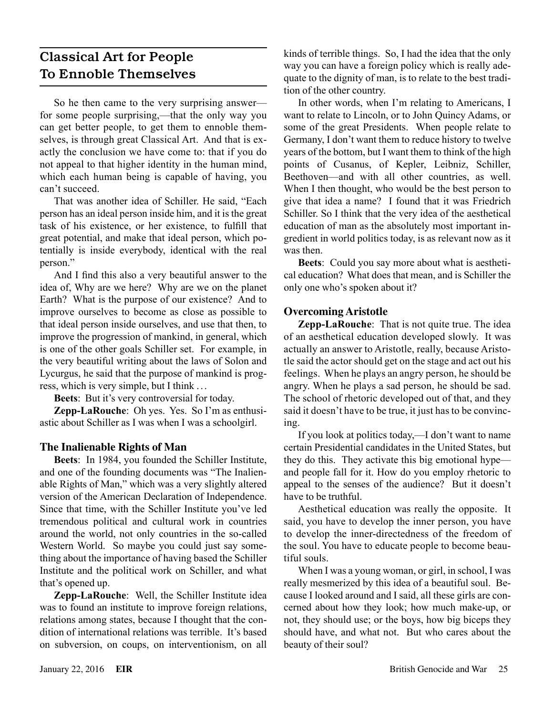# Classical Art for People To Ennoble Themselves

So he then came to the very surprising answer for some people surprising,—that the only way you can get better people, to get them to ennoble themselves, is through great Classical Art. And that is exactly the conclusion we have come to: that if you do not appeal to that higher identity in the human mind, which each human being is capable of having, you can't succeed.

That was another idea of Schiller. He said, "Each person has an ideal person inside him, and it is the great task of his existence, or her existence, to fulfill that great potential, and make that ideal person, which potentially is inside everybody, identical with the real person."

And I find this also a very beautiful answer to the idea of, Why are we here? Why are we on the planet Earth? What is the purpose of our existence? And to improve ourselves to become as close as possible to that ideal person inside ourselves, and use that then, to improve the progression of mankind, in general, which is one of the other goals Schiller set. For example, in the very beautiful writing about the laws of Solon and Lycurgus, he said that the purpose of mankind is progress, which is very simple, but I think ...

**Beets**: But it's very controversial for today.

**Zepp-LaRouche**: Oh yes. Yes. So I'm as enthusiastic about Schiller as I was when I was a schoolgirl.

## **The Inalienable Rights of Man**

**Beets**: In 1984, you founded the Schiller Institute, and one of the founding documents was "The Inalienable Rights of Man," which was a very slightly altered version of the American Declaration of Independence. Since that time, with the Schiller Institute you've led tremendous political and cultural work in countries around the world, not only countries in the so-called Western World. So maybe you could just say something about the importance of having based the Schiller Institute and the political work on Schiller, and what that's opened up.

**Zepp-LaRouche**: Well, the Schiller Institute idea was to found an institute to improve foreign relations, relations among states, because I thought that the condition of international relations was terrible. It's based on subversion, on coups, on interventionism, on all kinds of terrible things. So, I had the idea that the only way you can have a foreign policy which is really adequate to the dignity of man, is to relate to the best tradition of the other country.

In other words, when I'm relating to Americans, I want to relate to Lincoln, or to John Quincy Adams, or some of the great Presidents. When people relate to Germany, I don't want them to reduce history to twelve years of the bottom, but I want them to think of the high points of Cusanus, of Kepler, Leibniz, Schiller, Beethoven—and with all other countries, as well. When I then thought, who would be the best person to give that idea a name? I found that it was Friedrich Schiller. So I think that the very idea of the aesthetical education of man as the absolutely most important ingredient in world politics today, is as relevant now as it was then.

**Beets**: Could you say more about what is aesthetical education? What does that mean, and is Schiller the only one who's spoken about it?

## **Overcoming Aristotle**

**Zepp-LaRouche**: That is not quite true. The idea of an aesthetical education developed slowly. It was actually an answer to Aristotle, really, because Aristotle said the actor should get on the stage and act out his feelings. When he plays an angry person, he should be angry. When he plays a sad person, he should be sad. The school of rhetoric developed out of that, and they said it doesn't have to be true, it just has to be convincing.

If you look at politics today,—I don't want to name certain Presidential candidates in the United States, but they do this. They activate this big emotional hype and people fall for it. How do you employ rhetoric to appeal to the senses of the audience? But it doesn't have to be truthful.

Aesthetical education was really the opposite. It said, you have to develop the inner person, you have to develop the inner-directedness of the freedom of the soul. You have to educate people to become beautiful souls.

When I was a young woman, or girl, in school, I was really mesmerized by this idea of a beautiful soul. Because I looked around and I said, all these girls are concerned about how they look; how much make-up, or not, they should use; or the boys, how big biceps they should have, and what not. But who cares about the beauty of their soul?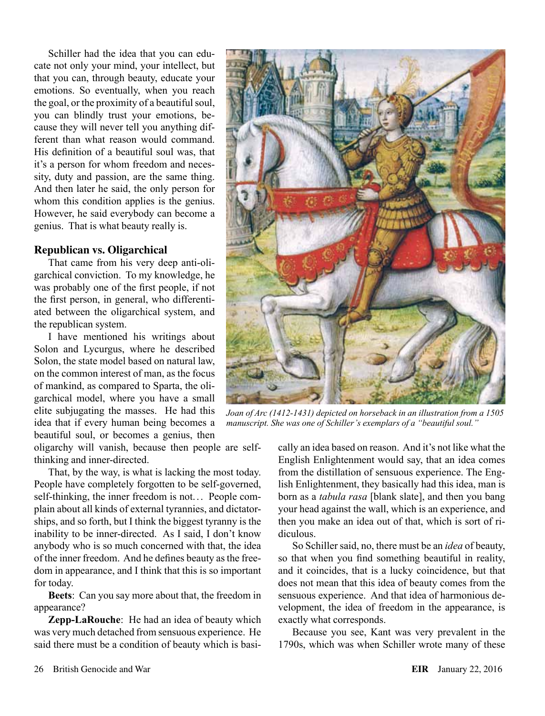Schiller had the idea that you can educate not only your mind, your intellect, but that you can, through beauty, educate your emotions. So eventually, when you reach the goal, or the proximity of a beautiful soul, you can blindly trust your emotions, because they will never tell you anything different than what reason would command. His definition of a beautiful soul was, that it's a person for whom freedom and necessity, duty and passion, are the same thing. And then later he said, the only person for whom this condition applies is the genius. However, he said everybody can become a genius. That is what beauty really is.

#### **Republican vs. Oligarchical**

That came from his very deep anti-oligarchical conviction. To my knowledge, he was probably one of the first people, if not the first person, in general, who differentiated between the oligarchical system, and the republican system.

I have mentioned his writings about Solon and Lycurgus, where he described Solon, the state model based on natural law, on the common interest of man, as the focus of mankind, as compared to Sparta, the oligarchical model, where you have a small elite subjugating the masses. He had this idea that if every human being becomes a beautiful soul, or becomes a genius, then

oligarchy will vanish, because then people are selfthinking and inner-directed.

That, by the way, is what is lacking the most today. People have completely forgotten to be self-governed, self-thinking, the inner freedom is not. .. People complain about all kinds of external tyrannies, and dictatorships, and so forth, but I think the biggest tyranny is the inability to be inner-directed. As I said, I don't know anybody who is so much concerned with that, the idea of the inner freedom. And he defines beauty as the freedom in appearance, and I think that this is so important for today.

**Beets**: Can you say more about that, the freedom in appearance?

**Zepp-LaRouche**: He had an idea of beauty which was very much detached from sensuous experience. He said there must be a condition of beauty which is basi-



*Joan of Arc (1412-1431) depicted on horseback in an illustration from a 1505 manuscript. She was one of Schiller's exemplars of a "beautiful soul."*

cally an idea based on reason. And it's not like what the English Enlightenment would say, that an idea comes from the distillation of sensuous experience. The English Enlightenment, they basically had this idea, man is born as a *tabula rasa* [blank slate], and then you bang your head against the wall, which is an experience, and then you make an idea out of that, which is sort of ridiculous.

So Schiller said, no, there must be an *idea* of beauty, so that when you find something beautiful in reality, and it coincides, that is a lucky coincidence, but that does not mean that this idea of beauty comes from the sensuous experience. And that idea of harmonious development, the idea of freedom in the appearance, is exactly what corresponds.

Because you see, Kant was very prevalent in the 1790s, which was when Schiller wrote many of these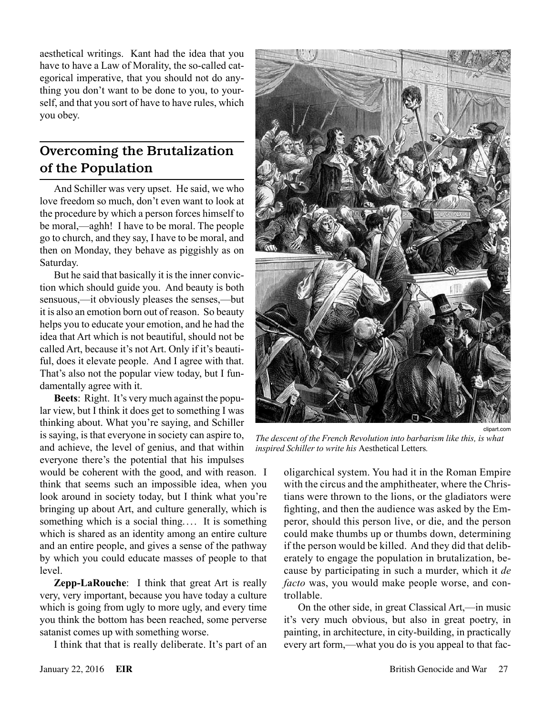aesthetical writings. Kant had the idea that you have to have a Law of Morality, the so-called categorical imperative, that you should not do anything you don't want to be done to you, to yourself, and that you sort of have to have rules, which you obey.

# Overcoming the Brutalization of the Population

And Schiller was very upset. He said, we who love freedom so much, don't even want to look at the procedure by which a person forces himself to be moral,—aghh! I have to be moral. The people go to church, and they say, I have to be moral, and then on Monday, they behave as piggishly as on Saturday.

But he said that basically it is the inner conviction which should guide you. And beauty is both sensuous,—it obviously pleases the senses,—but it is also an emotion born out of reason. So beauty helps you to educate your emotion, and he had the idea that Art which is not beautiful, should not be called Art, because it's not Art. Only if it's beautiful, does it elevate people. And I agree with that. That's also not the popular view today, but I fundamentally agree with it.

**Beets**: Right. It's very much against the popular view, but I think it does get to something I was thinking about. What you're saying, and Schiller is saying, is that everyone in society can aspire to, and achieve, the level of genius, and that within everyone there's the potential that his impulses

would be coherent with the good, and with reason. I think that seems such an impossible idea, when you look around in society today, but I think what you're bringing up about Art, and culture generally, which is something which is a social thing.... It is something which is shared as an identity among an entire culture and an entire people, and gives a sense of the pathway by which you could educate masses of people to that level.

**Zepp-LaRouche**: I think that great Art is really very, very important, because you have today a culture which is going from ugly to more ugly, and every time you think the bottom has been reached, some perverse satanist comes up with something worse.

I think that that is really deliberate. It's part of an



*The descent of the French Revolution into barbarism like this, is what inspired Schiller to write his* Aesthetical Letters*.*

oligarchical system. You had it in the Roman Empire with the circus and the amphitheater, where the Christians were thrown to the lions, or the gladiators were fighting, and then the audience was asked by the Emperor, should this person live, or die, and the person could make thumbs up or thumbs down, determining if the person would be killed. And they did that deliberately to engage the population in brutalization, because by participating in such a murder, which it *de facto* was, you would make people worse, and controllable.

On the other side, in great Classical Art,—in music it's very much obvious, but also in great poetry, in painting, in architecture, in city-building, in practically every art form,—what you do is you appeal to that fac-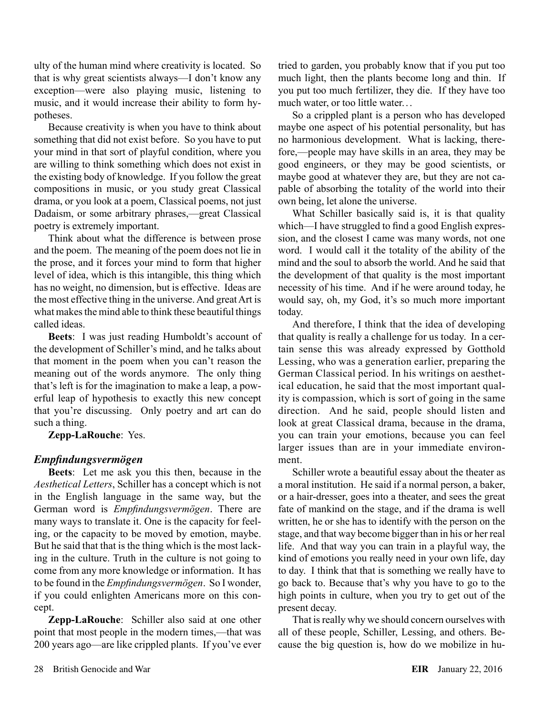ulty of the human mind where creativity is located. So that is why great scientists always—I don't know any exception—were also playing music, listening to music, and it would increase their ability to form hypotheses.

Because creativity is when you have to think about something that did not exist before. So you have to put your mind in that sort of playful condition, where you are willing to think something which does not exist in the existing body of knowledge. If you follow the great compositions in music, or you study great Classical drama, or you look at a poem, Classical poems, not just Dadaism, or some arbitrary phrases,—great Classical poetry is extremely important.

Think about what the difference is between prose and the poem. The meaning of the poem does not lie in the prose, and it forces your mind to form that higher level of idea, which is this intangible, this thing which has no weight, no dimension, but is effective. Ideas are the most effective thing in the universe. And great Art is what makes the mind able to think these beautiful things called ideas.

**Beets**: I was just reading Humboldt's account of the development of Schiller's mind, and he talks about that moment in the poem when you can't reason the meaning out of the words anymore. The only thing that's left is for the imagination to make a leap, a powerful leap of hypothesis to exactly this new concept that you're discussing. Only poetry and art can do such a thing.

**Zepp-LaRouche**: Yes.

## *Empfindungsvermögen*

**Beets**: Let me ask you this then, because in the *Aesthetical Letters*, Schiller has a concept which is not in the English language in the same way, but the German word is *Empfindungsvermögen*. There are many ways to translate it. One is the capacity for feeling, or the capacity to be moved by emotion, maybe. But he said that that is the thing which is the most lacking in the culture. Truth in the culture is not going to come from any more knowledge or information. It has to be found in the *Empfindungsvermögen*. So I wonder, if you could enlighten Americans more on this concept.

**Zepp-LaRouche**: Schiller also said at one other point that most people in the modern times,—that was 200 years ago—are like crippled plants. If you've ever tried to garden, you probably know that if you put too much light, then the plants become long and thin. If you put too much fertilizer, they die. If they have too much water, or too little water. . .

So a crippled plant is a person who has developed maybe one aspect of his potential personality, but has no harmonious development. What is lacking, therefore,—people may have skills in an area, they may be good engineers, or they may be good scientists, or maybe good at whatever they are, but they are not capable of absorbing the totality of the world into their own being, let alone the universe.

What Schiller basically said is, it is that quality which—I have struggled to find a good English expression, and the closest I came was many words, not one word. I would call it the totality of the ability of the mind and the soul to absorb the world. And he said that the development of that quality is the most important necessity of his time. And if he were around today, he would say, oh, my God, it's so much more important today.

And therefore, I think that the idea of developing that quality is really a challenge for us today. In a certain sense this was already expressed by Gotthold Lessing, who was a generation earlier, preparing the German Classical period. In his writings on aesthetical education, he said that the most important quality is compassion, which is sort of going in the same direction. And he said, people should listen and look at great Classical drama, because in the drama, you can train your emotions, because you can feel larger issues than are in your immediate environment.

Schiller wrote a beautiful essay about the theater as a moral institution. He said if a normal person, a baker, or a hair-dresser, goes into a theater, and sees the great fate of mankind on the stage, and if the drama is well written, he or she has to identify with the person on the stage, and that way become bigger than in his or her real life. And that way you can train in a playful way, the kind of emotions you really need in your own life, day to day. I think that that is something we really have to go back to. Because that's why you have to go to the high points in culture, when you try to get out of the present decay.

That is really why we should concern ourselves with all of these people, Schiller, Lessing, and others. Because the big question is, how do we mobilize in hu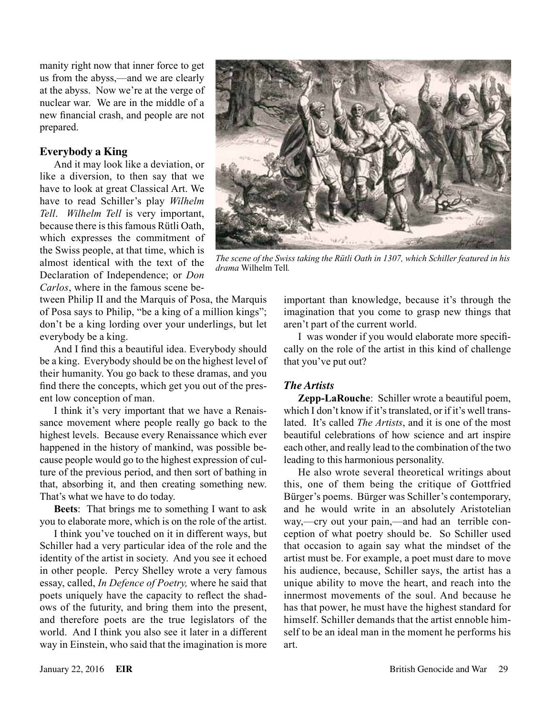manity right now that inner force to get us from the abyss,—and we are clearly at the abyss. Now we're at the verge of nuclear war. We are in the middle of a new financial crash, and people are not prepared.

#### **Everybody a King**

And it may look like a deviation, or like a diversion, to then say that we have to look at great Classical Art. We have to read Schiller's play *Wilhelm Tell*. *Wilhelm Tell* is very important, because there is this famous Rütli Oath, which expresses the commitment of the Swiss people, at that time, which is almost identical with the text of the Declaration of Independence; or *Don Carlos*, where in the famous scene be-

tween Philip II and the Marquis of Posa, the Marquis of Posa says to Philip, "be a king of a million kings"; don't be a king lording over your underlings, but let everybody be a king.

And I find this a beautiful idea. Everybody should be a king. Everybody should be on the highest level of their humanity. You go back to these dramas, and you find there the concepts, which get you out of the present low conception of man.

I think it's very important that we have a Renaissance movement where people really go back to the highest levels. Because every Renaissance which ever happened in the history of mankind, was possible because people would go to the highest expression of culture of the previous period, and then sort of bathing in that, absorbing it, and then creating something new. That's what we have to do today.

**Beets**: That brings me to something I want to ask you to elaborate more, which is on the role of the artist.

I think you've touched on it in different ways, but Schiller had a very particular idea of the role and the identity of the artist in society. And you see it echoed in other people. Percy Shelley wrote a very famous essay, called, *In Defence of Poetry,* where he said that poets uniquely have the capacity to reflect the shadows of the futurity, and bring them into the present, and therefore poets are the true legislators of the world. And I think you also see it later in a different way in Einstein, who said that the imagination is more



*The scene of the Swiss taking the Rütli Oath in 1307, which Schiller featured in his drama* Wilhelm Tell*.*

important than knowledge, because it's through the imagination that you come to grasp new things that aren't part of the current world.

I was wonder if you would elaborate more specifically on the role of the artist in this kind of challenge that you've put out?

## *The Artists*

**Zepp-LaRouche**: Schiller wrote a beautiful poem, which I don't know if it's translated, or if it's well translated. It's called *The Artists*, and it is one of the most beautiful celebrations of how science and art inspire each other, and really lead to the combination of the two leading to this harmonious personality.

He also wrote several theoretical writings about this, one of them being the critique of Gottfried Bürger's poems. Bürger was Schiller's contemporary, and he would write in an absolutely Aristotelian way,—cry out your pain,—and had an terrible conception of what poetry should be. So Schiller used that occasion to again say what the mindset of the artist must be. For example, a poet must dare to move his audience, because, Schiller says, the artist has a unique ability to move the heart, and reach into the innermost movements of the soul. And because he has that power, he must have the highest standard for himself. Schiller demands that the artist ennoble himself to be an ideal man in the moment he performs his art.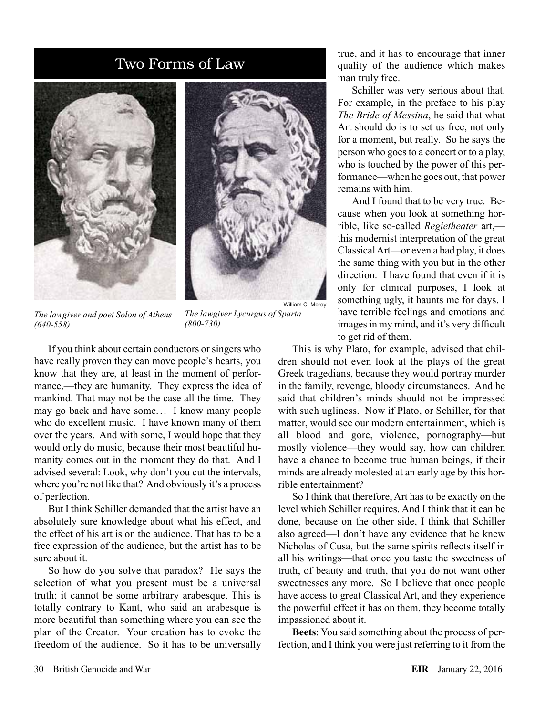# Two Forms of Law





*The lawgiver and poet Solon of Athens (640-558)*

*The lawgiver Lycurgus of Sparta (800-730)*

William C. Morey

If you think about certain conductors or singers who have really proven they can move people's hearts, you know that they are, at least in the moment of performance,—they are humanity. They express the idea of mankind. That may not be the case all the time. They may go back and have some... I know many people who do excellent music. I have known many of them over the years. And with some, I would hope that they would only do music, because their most beautiful humanity comes out in the moment they do that. And I advised several: Look, why don't you cut the intervals, where you're not like that? And obviously it's a process of perfection.

But I think Schiller demanded that the artist have an absolutely sure knowledge about what his effect, and the effect of his art is on the audience. That has to be a free expression of the audience, but the artist has to be sure about it.

So how do you solve that paradox? He says the selection of what you present must be a universal truth; it cannot be some arbitrary arabesque. This is totally contrary to Kant, who said an arabesque is more beautiful than something where you can see the plan of the Creator. Your creation has to evoke the freedom of the audience. So it has to be universally true, and it has to encourage that inner quality of the audience which makes man truly free.

Schiller was very serious about that. For example, in the preface to his play *The Bride of Messina*, he said that what Art should do is to set us free, not only for a moment, but really. So he says the person who goes to a concert or to a play, who is touched by the power of this performance—when he goes out, that power remains with him.

And I found that to be very true. Because when you look at something horrible, like so-called *Regietheater* art, this modernist interpretation of the great Classical Art—or even a bad play, it does the same thing with you but in the other direction. I have found that even if it is only for clinical purposes, I look at something ugly, it haunts me for days. I have terrible feelings and emotions and images in my mind, and it's very difficult to get rid of them.

This is why Plato, for example, advised that children should not even look at the plays of the great Greek tragedians, because they would portray murder in the family, revenge, bloody circumstances. And he said that children's minds should not be impressed with such ugliness. Now if Plato, or Schiller, for that matter, would see our modern entertainment, which is all blood and gore, violence, pornography—but mostly violence—they would say, how can children have a chance to become true human beings, if their minds are already molested at an early age by this horrible entertainment?

So I think that therefore, Art has to be exactly on the level which Schiller requires. And I think that it can be done, because on the other side, I think that Schiller also agreed—I don't have any evidence that he knew Nicholas of Cusa, but the same spirits reflects itself in all his writings—that once you taste the sweetness of truth, of beauty and truth, that you do not want other sweetnesses any more. So I believe that once people have access to great Classical Art, and they experience the powerful effect it has on them, they become totally impassioned about it.

**Beets**: You said something about the process of perfection, and I think you were just referring to it from the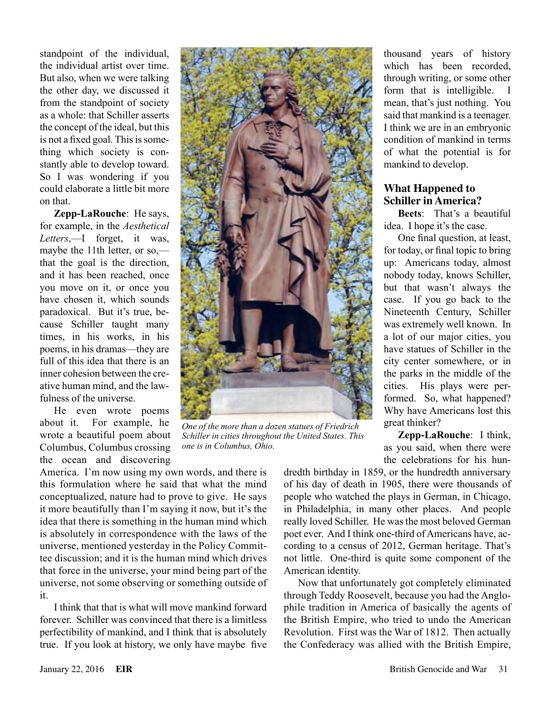standpoint of the individual, the individual artist over time. But also, when we were talking the other day, we discussed it from the standpoint of society as a whole: that Schiller asserts the concept of the ideal, but this is not a fixed goal. This is something which society is constantly able to develop toward. So I was wondering if you could elaborate a little bit more on that.

**Zepp-LaRouche**: He says, for example, in the *Aesthetical Letters*,—I forget, it was, maybe the 11th letter, or so, that the goal is the direction, and it has been reached, once you move on it, or once you have chosen it, which sounds paradoxical. But it's true, because Schiller taught many times, in his works, in his poems, in his dramas—they are full of this idea that there is an inner cohesion between the creative human mind, and the lawfulness of the universe.

He even wrote poems about it. For example, he wrote a beautiful poem about Columbus, Columbus crossing the ocean and discovering

America. I'm now using my own words, and there is this formulation where he said that what the mind conceptualized, nature had to prove to give. He says it more beautifully than I'm saying it now, but it's the idea that there is something in the human mind which is absolutely in correspondence with the laws of the universe, mentioned yesterday in the Policy Committee discussion; and it is the human mind which drives that force in the universe, your mind being part of the universe, not some observing or something outside of it.

I think that that is what will move mankind forward forever. Schiller was convinced that there is a limitless perfectibility of mankind, and I think that is absolutely true. If you look at history, we only have maybe five



*One of the more than a dozen statues of Friedrich Schiller in cities throughout the United States. This one is in Columbus, Ohio.*

thousand years of history which has been recorded, through writing, or some other form that is intelligible. I mean, that's just nothing. You said that mankind is a teenager. I think we are in an embryonic condition of mankind in terms of what the potential is for mankind to develop.

## **What Happened to Schiller in America?**

**Beets**: That's a beautiful idea. I hope it's the case.

One final question, at least, for today, or final topic to bring up: Americans today, almost nobody today, knows Schiller, but that wasn't always the case. If you go back to the Nineteenth Century, Schiller was extremely well known. In a lot of our major cities, you have statues of Schiller in the city center somewhere, or in the parks in the middle of the cities. His plays were performed. So, what happened? Why have Americans lost this great thinker?

**Zepp-LaRouche**: I think, as you said, when there were the celebrations for his hun-

dredth birthday in 1859, or the hundredth anniversary of his day of death in 1905, there were thousands of people who watched the plays in German, in Chicago, in Philadelphia, in many other places. And people really loved Schiller. He was the most beloved German poet ever. And I think one-third of Americans have, according to a census of 2012, German heritage. That's not little. One-third is quite some component of the American identity.

Now that unfortunately got completely eliminated through Teddy Roosevelt, because you had the Anglophile tradition in America of basically the agents of the British Empire, who tried to undo the American Revolution. First was the War of 1812. Then actually the Confederacy was allied with the British Empire,